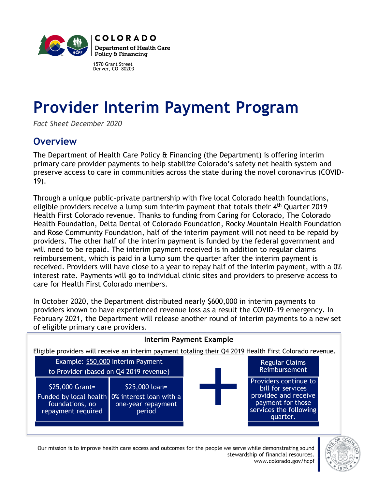

1570 Grant Street Denver, CO 80203

# **Provider Interim Payment Program**

*Fact Sheet December 2020*

## **Overview**

The Department of Health Care Policy & Financing (the Department) is offering interim primary care provider payments to help stabilize Colorado's safety net health system and preserve access to care in communities across the state during the novel coronavirus (COVID-19).

Through a unique public-private partnership with five local Colorado health foundations, eligible providers receive a lump sum interim payment that totals their 4<sup>th</sup> Quarter 2019 Health First Colorado revenue. Thanks to funding from Caring for Colorado, The Colorado Health Foundation, Delta Dental of Colorado Foundation, Rocky Mountain Health Foundation and Rose Community Foundation, half of the interim payment will not need to be repaid by providers. The other half of the interim payment is funded by the federal government and will need to be repaid. The interim payment received is in addition to regular claims reimbursement, which is paid in a lump sum the quarter after the interim payment is received. Providers will have close to a year to repay half of the interim payment, with a 0% interest rate. Payments will go to individual clinic sites and providers to preserve access to care for Health First Colorado members.

In October 2020, the Department distributed nearly \$600,000 in interim payments to providers known to have experienced revenue loss as a result the COVID-19 emergency. In February 2021, the Department will release another round of interim payments to a new set of eligible primary care providers.

| <b>Interim Payment Example</b>                                                                             |                                                 |  |                                                                                                                               |  |  |  |
|------------------------------------------------------------------------------------------------------------|-------------------------------------------------|--|-------------------------------------------------------------------------------------------------------------------------------|--|--|--|
| Eligible providers will receive an interim payment totaling their Q4 2019 Health First Colorado revenue.   |                                                 |  |                                                                                                                               |  |  |  |
| Example: \$50,000 Interim Payment<br>to Provider (based on Q4 2019 revenue)                                |                                                 |  | <b>Regular Claims</b><br><b>Reimbursement</b>                                                                                 |  |  |  |
| \$25,000 Grant=<br>Funded by local health 0% interest loan with a<br>foundations, no<br>repayment required | $$25,000$ loan=<br>one-year repayment<br>period |  | Providers continue to<br>bill for services<br>provided and receive<br>payment for those<br>services the following<br>quarter. |  |  |  |

Our mission is to improve health care access and outcomes for the people we serve while demonstrating sound stewardship of financial resources. www.colorado.gov/hcpf

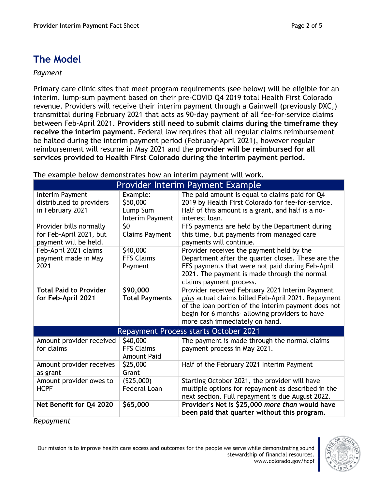### **The Model**

#### *Payment*

Primary care clinic sites that meet program requirements (see below) will be eligible for an interim, lump-sum payment based on their pre-COVID Q4 2019 total Health First Colorado revenue. Providers will receive their interim payment through a Gainwell (previously DXC,) transmittal during February 2021 that acts as 90-day payment of all fee-for-service claims between Feb-April 2021. **Providers still need to submit claims during the timeframe they receive the interim payment**. Federal law requires that all regular claims reimbursement be halted during the interim payment period (February-April 2021), however regular reimbursement will resume in May 2021 and the **provider will be reimbursed for all services provided to Health First Colorado during the interim payment period.** 

| <b>Provider Interim Payment Example</b>                                     |                                                     |                                                                                                                                                                                                                                                   |  |  |  |
|-----------------------------------------------------------------------------|-----------------------------------------------------|---------------------------------------------------------------------------------------------------------------------------------------------------------------------------------------------------------------------------------------------------|--|--|--|
| Interim Payment<br>distributed to providers<br>in February 2021             | Example:<br>\$50,000<br>Lump Sum<br>Interim Payment | The paid amount is equal to claims paid for Q4<br>2019 by Health First Colorado for fee-for-service.<br>Half of this amount is a grant, and half is a no-<br>interest loan.                                                                       |  |  |  |
| Provider bills normally<br>for Feb-April 2021, but<br>payment will be held. | \$0<br><b>Claims Payment</b>                        | FFS payments are held by the Department during<br>this time, but payments from managed care<br>payments will continue.                                                                                                                            |  |  |  |
| Feb-April 2021 claims<br>payment made in May<br>2021                        | \$40,000<br><b>FFS Claims</b><br>Payment            | Provider receives the payment held by the<br>Department after the quarter closes. These are the<br>FFS payments that were not paid during Feb-April<br>2021. The payment is made through the normal<br>claims payment process.                    |  |  |  |
| <b>Total Paid to Provider</b><br>for Feb-April 2021                         | \$90,000<br><b>Total Payments</b>                   | Provider received February 2021 Interim Payment<br>plus actual claims billed Feb-April 2021. Repayment<br>of the loan portion of the interim payment does not<br>begin for 6 months- allowing providers to have<br>more cash immediately on hand. |  |  |  |
| <b>Repayment Process starts October 2021</b>                                |                                                     |                                                                                                                                                                                                                                                   |  |  |  |
| Amount provider received<br>for claims                                      | \$40,000<br><b>FFS Claims</b><br><b>Amount Paid</b> | The payment is made through the normal claims<br>payment process in May 2021.                                                                                                                                                                     |  |  |  |
| Amount provider receives<br>as grant                                        | \$25,000<br>Grant                                   | Half of the February 2021 Interim Payment                                                                                                                                                                                                         |  |  |  |
| Amount provider owes to<br><b>HCPF</b>                                      | (525,000)<br><b>Federal Loan</b>                    | Starting October 2021, the provider will have<br>multiple options for repayment as described in the<br>next section. Full repayment is due August 2022.                                                                                           |  |  |  |
| Net Benefit for Q4 2020                                                     | \$65,000                                            | Provider's Net is \$25,000 more than would have<br>been paid that quarter without this program.                                                                                                                                                   |  |  |  |

The example below demonstrates how an interim payment will work.

*Repayment*

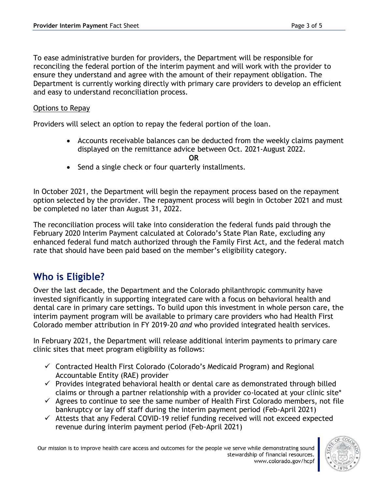To ease administrative burden for providers, the Department will be responsible for reconciling the federal portion of the interim payment and will work with the provider to ensure they understand and agree with the amount of their repayment obligation. The Department is currently working directly with primary care providers to develop an efficient and easy to understand reconciliation process.

#### Options to Repay

Providers will select an option to repay the federal portion of the loan.

• Accounts receivable balances can be deducted from the weekly claims payment displayed on the remittance advice between Oct. 2021-August 2022.

**OR**

• Send a single check or four quarterly installments.

In October 2021, the Department will begin the repayment process based on the repayment option selected by the provider. The repayment process will begin in October 2021 and must be completed no later than August 31, 2022.

The reconciliation process will take into consideration the federal funds paid through the February 2020 Interim Payment calculated at Colorado's State Plan Rate, excluding any enhanced federal fund match authorized through the Family First Act, and the federal match rate that should have been paid based on the member's eligibility category.

## **Who is Eligible?**

Over the last decade, the Department and the Colorado philanthropic community have invested significantly in supporting integrated care with a focus on behavioral health and dental care in primary care settings. To build upon this investment in whole person care, the interim payment program will be available to primary care providers who had Health First Colorado member attribution in FY 2019-20 *and* who provided integrated health services.

In February 2021, the Department will release additional interim payments to primary care clinic sites that meet program eligibility as follows:

- ✓ Contracted Health First Colorado (Colorado's Medicaid Program) and Regional Accountable Entity (RAE) provider
- $\checkmark$  Provides integrated behavioral health or dental care as demonstrated through billed claims or through a partner relationship with a provider co-located at your clinic site\*
- $\checkmark$  Agrees to continue to see the same number of Health First Colorado members, not file bankruptcy or lay off staff during the interim payment period (Feb-April 2021)
- $\checkmark$  Attests that any Federal COVID-19 relief funding received will not exceed expected revenue during interim payment period (Feb-April 2021)

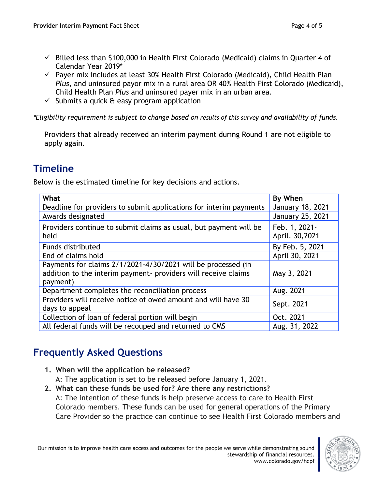- $\checkmark$  Billed less than \$100,000 in Health First Colorado (Medicaid) claims in Quarter 4 of Calendar Year 2019\*
- $\checkmark$  Payer mix includes at least 30% Health First Colorado (Medicaid), Child Health Plan *Plus*, and uninsured payor mix in a rural area OR 40% Health First Colorado (Medicaid), Child Health Plan *Plus* and uninsured payer mix in an urban area.
- $\checkmark$  Submits a quick & easy program application

*\*Eligibility requirement is subject to change based on results of this survey and availability of funds*.

Providers that already received an interim payment during Round 1 are not eligible to apply again.

# **Timeline**

Below is the estimated timeline for key decisions and actions.

| What                                                                                                                                       | By When                         |
|--------------------------------------------------------------------------------------------------------------------------------------------|---------------------------------|
| Deadline for providers to submit applications for interim payments                                                                         | January 18, 2021                |
| Awards designated                                                                                                                          | January 25, 2021                |
| Providers continue to submit claims as usual, but payment will be<br>held                                                                  | Feb. 1, 2021-<br>April. 30,2021 |
| Funds distributed                                                                                                                          | By Feb. 5, 2021                 |
| End of claims hold                                                                                                                         | April 30, 2021                  |
| Payments for claims 2/1/2021-4/30/2021 will be processed (in<br>addition to the interim payment- providers will receive claims<br>payment) | May 3, 2021                     |
| Department completes the reconciliation process                                                                                            | Aug. 2021                       |
| Providers will receive notice of owed amount and will have 30<br>days to appeal                                                            | Sept. 2021                      |
| Collection of loan of federal portion will begin                                                                                           | Oct. 2021                       |
| All federal funds will be recouped and returned to CMS                                                                                     | Aug. 31, 2022                   |

# **Frequently Asked Questions**

**1. When will the application be released?**

A: The application is set to be released before January 1, 2021.

**2. What can these funds be used for? Are there any restrictions?** A: The intention of these funds is help preserve access to care to Health First Colorado members. These funds can be used for general operations of the Primary Care Provider so the practice can continue to see Health First Colorado members and